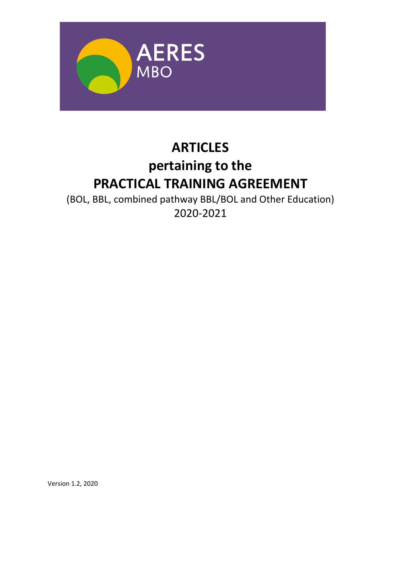

# **ARTICLES pertaining to the PRACTICAL TRAINING AGREEMENT**

(BOL, BBL, combined pathway BBL/BOL and Other Education) 2020‐2021

Version 1.2, 2020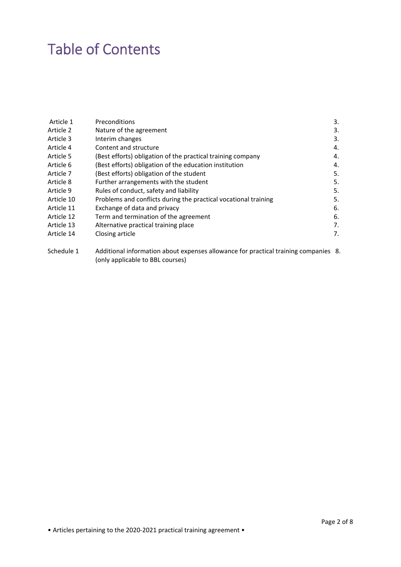# Table of Contents

| Article 1  | <b>Preconditions</b>                                            | 3. |
|------------|-----------------------------------------------------------------|----|
| Article 2  | Nature of the agreement                                         | 3. |
| Article 3  | Interim changes                                                 | 3. |
| Article 4  | Content and structure                                           | 4. |
| Article 5  | (Best efforts) obligation of the practical training company     | 4. |
| Article 6  | (Best efforts) obligation of the education institution          | 4. |
| Article 7  | (Best efforts) obligation of the student                        | 5. |
| Article 8  | Further arrangements with the student                           | 5. |
| Article 9  | Rules of conduct, safety and liability                          | 5. |
| Article 10 | Problems and conflicts during the practical vocational training | 5. |
| Article 11 | Exchange of data and privacy                                    | 6. |
| Article 12 | Term and termination of the agreement                           | 6. |
| Article 13 | Alternative practical training place                            | 7. |
| Article 14 | Closing article                                                 | 7. |
|            |                                                                 |    |

Schedule 1 Additional information about expenses allowance for practical training companies 8. (only applicable to BBL courses)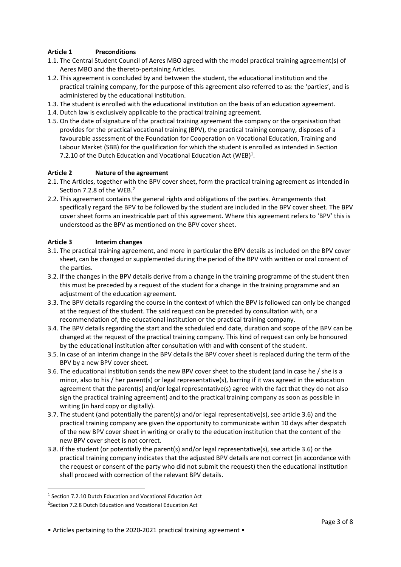# **Article 1 Preconditions**

- 1.1. The Central Student Council of Aeres MBO agreed with the model practical training agreement(s) of Aeres MBO and the thereto‐pertaining Articles.
- 1.2. This agreement is concluded by and between the student, the educational institution and the practical training company, for the purpose of this agreement also referred to as: the 'parties', and is administered by the educational institution.
- 1.3. The student is enrolled with the educational institution on the basis of an education agreement.
- 1.4. Dutch law is exclusively applicable to the practical training agreement.
- 1.5. On the date of signature of the practical training agreement the company or the organisation that provides for the practical vocational training (BPV), the practical training company, disposes of a favourable assessment of the Foundation for Cooperation on Vocational Education, Training and Labour Market (SBB) for the qualification for which the student is enrolled as intended in Section 7.2.10 of the Dutch Education and Vocational Education Act (WEB)<sup>1</sup>.

### **Article 2 Nature of the agreement**

- 2.1. The Articles, together with the BPV cover sheet, form the practical training agreement as intended in Section 7.2.8 of the WEB.<sup>2</sup>
- 2.2. This agreement contains the general rights and obligations of the parties. Arrangements that specifically regard the BPV to be followed by the student are included in the BPV cover sheet. The BPV cover sheet forms an inextricable part of this agreement. Where this agreement refers to 'BPV' this is understood as the BPV as mentioned on the BPV cover sheet.

#### **Article 3 Interim changes**

- 3.1. The practical training agreement, and more in particular the BPV details as included on the BPV cover sheet, can be changed or supplemented during the period of the BPV with written or oral consent of the parties.
- 3.2. If the changes in the BPV details derive from a change in the training programme of the student then this must be preceded by a request of the student for a change in the training programme and an adjustment of the education agreement.
- 3.3. The BPV details regarding the course in the context of which the BPV is followed can only be changed at the request of the student. The said request can be preceded by consultation with, or a recommendation of, the educational institution or the practical training company.
- 3.4. The BPV details regarding the start and the scheduled end date, duration and scope of the BPV can be changed at the request of the practical training company. This kind of request can only be honoured by the educational institution after consultation with and with consent of the student.
- 3.5. In case of an interim change in the BPV details the BPV cover sheet is replaced during the term of the BPV by a new BPV cover sheet.
- 3.6. The educational institution sends the new BPV cover sheet to the student (and in case he / she is a minor, also to his / her parent(s) or legal representative(s), barring if it was agreed in the education agreement that the parent(s) and/or legal representative(s) agree with the fact that they do not also sign the practical training agreement) and to the practical training company as soon as possible in writing (in hard copy or digitally).
- 3.7. The student (and potentially the parent(s) and/or legal representative(s), see article 3.6) and the practical training company are given the opportunity to communicate within 10 days after despatch of the new BPV cover sheet in writing or orally to the education institution that the content of the new BPV cover sheet is not correct.
- 3.8. If the student (or potentially the parent(s) and/or legal representative(s), see article 3.6) or the practical training company indicates that the adjusted BPV details are not correct (in accordance with the request or consent of the party who did not submit the request) then the educational institution shall proceed with correction of the relevant BPV details.

<sup>1</sup> Section 7.2.10 Dutch Education and Vocational Education Act

<sup>&</sup>lt;sup>2</sup> Section 7.2.8 Dutch Education and Vocational Education Act

<sup>•</sup> Articles pertaining to the 2020-2021 practical training agreement •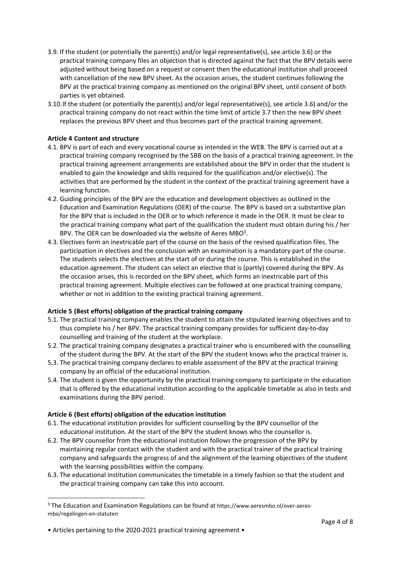- 3.9. If the student (or potentially the parent(s) and/or legal representative(s), see article 3.6) or the practical training company files an objection that is directed against the fact that the BPV details were adjusted without being based on a request or consent then the educational institution shall proceed with cancellation of the new BPV sheet. As the occasion arises, the student continues following the BPV at the practical training company as mentioned on the original BPV sheet, until consent of both parties is yet obtained.
- 3.10.If the student (or potentially the parent(s) and/or legal representative(s), see article 3.6) and/or the practical training company do not react within the time limit of article 3.7 then the new BPV sheet replaces the previous BPV sheet and thus becomes part of the practical training agreement.

### **Article 4 Content and structure**

- 4.1. BPV is part of each and every vocational course as intended in the WEB. The BPV is carried out at a practical training company recognised by the SBB on the basis of a practical training agreement. In the practical training agreement arrangements are established about the BPV in order that the student is enabled to gain the knowledge and skills required for the qualification and/or elective(s). The activities that are performed by the student in the context of the practical training agreement have a learning function.
- 4.2. Guiding principles of the BPV are the education and development objectives as outlined in the Education and Examination Regulations (OER) of the course. The BPV is based on a substantive plan for the BPV that is included in the OER or to which reference it made in the OER. It must be clear to the practical training company what part of the qualification the student must obtain during his / her BPV. The OER can be downloaded via the website of Aeres MBO<sup>3</sup>.
- 4.3. Electives form an inextricable part of the course on the basis of the revised qualification files. The participation in electives and the conclusion with an examination is a mandatory part of the course. The students selects the electives at the start of or during the course. This is established in the education agreement. The student can select an elective that is (partly) covered during the BPV. As the occasion arises, this is recorded on the BPV sheet, which forms an inextricable part of this practical training agreement. Multiple electives can be followed at one practical training company, whether or not in addition to the existing practical training agreement.

### **Article 5 (Best efforts) obligation of the practical training company**

- 5.1. The practical training company enables the student to attain the stipulated learning objectives and to thus complete his / her BPV. The practical training company provides for sufficient day‐to‐day counselling and training of the student at the workplace.
- 5.2. The practical training company designates a practical trainer who is encumbered with the counselling of the student during the BPV. At the start of the BPV the student knows who the practical trainer is.
- 5.3. The practical training company declares to enable assessment of the BPV at the practical training company by an official of the educational institution.
- 5.4. The student is given the opportunity by the practical training company to participate in the education that is offered by the educational institution according to the applicable timetable as also in tests and examinations during the BPV period.

### **Article 6 (Best efforts) obligation of the education institution**

- 6.1. The educational institution provides for sufficient counselling by the BPV counsellor of the educational institution. At the start of the BPV the student knows who the counsellor is.
- 6.2. The BPV counsellor from the educational institution follows the progression of the BPV by maintaining regular contact with the student and with the practical trainer of the practical training company and safeguards the progress of and the alignment of the learning objectives of the student with the learning possibilities within the company.
- 6.3. The educational institution communicates the timetable in a timely fashion so that the student and the practical training company can take this into account.

<sup>&</sup>lt;sup>3</sup> The Education and Examination Regulations can be found at https://www.aeresmbo.nl/over-aeresmbo/regelingen‐en‐statuten

<sup>•</sup> Articles pertaining to the 2020-2021 practical training agreement •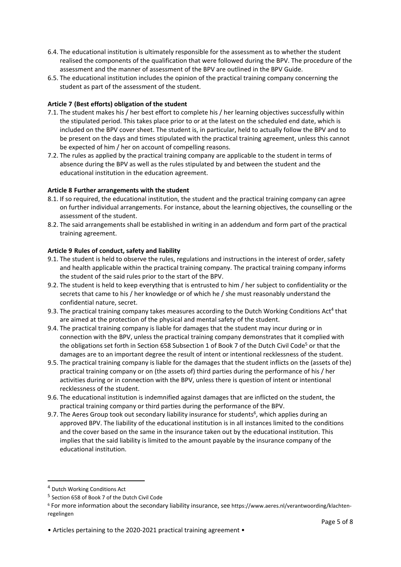- 6.4. The educational institution is ultimately responsible for the assessment as to whether the student realised the components of the qualification that were followed during the BPV. The procedure of the assessment and the manner of assessment of the BPV are outlined in the BPV Guide.
- 6.5. The educational institution includes the opinion of the practical training company concerning the student as part of the assessment of the student.

## **Article 7 (Best efforts) obligation of the student**

- 7.1. The student makes his / her best effort to complete his / her learning objectives successfully within the stipulated period. This takes place prior to or at the latest on the scheduled end date, which is included on the BPV cover sheet. The student is, in particular, held to actually follow the BPV and to be present on the days and times stipulated with the practical training agreement, unless this cannot be expected of him / her on account of compelling reasons.
- 7.2. The rules as applied by the practical training company are applicable to the student in terms of absence during the BPV as well as the rules stipulated by and between the student and the educational institution in the education agreement.

### **Article 8 Further arrangements with the student**

- 8.1. If so required, the educational institution, the student and the practical training company can agree on further individual arrangements. For instance, about the learning objectives, the counselling or the assessment of the student.
- 8.2. The said arrangements shall be established in writing in an addendum and form part of the practical training agreement.

#### **Article 9 Rules of conduct, safety and liability**

- 9.1. The student is held to observe the rules, regulations and instructions in the interest of order, safety and health applicable within the practical training company. The practical training company informs the student of the said rules prior to the start of the BPV.
- 9.2. The student is held to keep everything that is entrusted to him / her subject to confidentiality or the secrets that came to his / her knowledge or of which he / she must reasonably understand the confidential nature, secret.
- 9.3. The practical training company takes measures according to the Dutch Working Conditions Act<sup>4</sup> that are aimed at the protection of the physical and mental safety of the student.
- 9.4. The practical training company is liable for damages that the student may incur during or in connection with the BPV, unless the practical training company demonstrates that it complied with the obligations set forth in Section 658 Subsection 1 of Book 7 of the Dutch Civil Code<sup>5</sup> or that the damages are to an important degree the result of intent or intentional recklessness of the student.
- 9.5. The practical training company is liable for the damages that the student inflicts on the (assets of the) practical training company or on (the assets of) third parties during the performance of his / her activities during or in connection with the BPV, unless there is question of intent or intentional recklessness of the student.
- 9.6. The educational institution is indemnified against damages that are inflicted on the student, the practical training company or third parties during the performance of the BPV.
- 9.7. The Aeres Group took out secondary liability insurance for students<sup>6</sup>, which applies during an approved BPV. The liability of the educational institution is in all instances limited to the conditions and the cover based on the same in the insurance taken out by the educational institution. This implies that the said liability is limited to the amount payable by the insurance company of the educational institution.

<sup>4</sup> Dutch Working Conditions Act

<sup>5</sup> Section 658 of Book 7 of the Dutch Civil Code

<sup>6</sup> For more information about the secondary liability insurance, see https://www.aeres.nl/verantwoording/klachten‐ regelingen

<sup>•</sup> Articles pertaining to the 2020-2021 practical training agreement •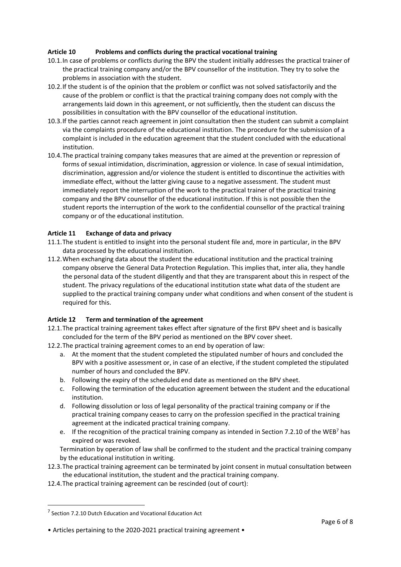# **Article 10 Problems and conflicts during the practical vocational training**

- 10.1.In case of problems or conflicts during the BPV the student initially addresses the practical trainer of the practical training company and/or the BPV counsellor of the institution. They try to solve the problems in association with the student.
- 10.2.If the student is of the opinion that the problem or conflict was not solved satisfactorily and the cause of the problem or conflict is that the practical training company does not comply with the arrangements laid down in this agreement, or not sufficiently, then the student can discuss the possibilities in consultation with the BPV counsellor of the educational institution.
- 10.3.If the parties cannot reach agreement in joint consultation then the student can submit a complaint via the complaints procedure of the educational institution. The procedure for the submission of a complaint is included in the education agreement that the student concluded with the educational institution.
- 10.4.The practical training company takes measures that are aimed at the prevention or repression of forms of sexual intimidation, discrimination, aggression or violence. In case of sexual intimidation, discrimination, aggression and/or violence the student is entitled to discontinue the activities with immediate effect, without the latter giving cause to a negative assessment. The student must immediately report the interruption of the work to the practical trainer of the practical training company and the BPV counsellor of the educational institution. If this is not possible then the student reports the interruption of the work to the confidential counsellor of the practical training company or of the educational institution.

### **Article 11 Exchange of data and privacy**

- 11.1.The student is entitled to insight into the personal student file and, more in particular, in the BPV data processed by the educational institution.
- 11.2.When exchanging data about the student the educational institution and the practical training company observe the General Data Protection Regulation. This implies that, inter alia, they handle the personal data of the student diligently and that they are transparent about this in respect of the student. The privacy regulations of the educational institution state what data of the student are supplied to the practical training company under what conditions and when consent of the student is required for this.

### **Article 12 Term and termination of the agreement**

- 12.1.The practical training agreement takes effect after signature of the first BPV sheet and is basically concluded for the term of the BPV period as mentioned on the BPV cover sheet.
- 12.2.The practical training agreement comes to an end by operation of law:
	- a. At the moment that the student completed the stipulated number of hours and concluded the BPV with a positive assessment or, in case of an elective, if the student completed the stipulated number of hours and concluded the BPV.
	- b. Following the expiry of the scheduled end date as mentioned on the BPV sheet.
	- c. Following the termination of the education agreement between the student and the educational institution.
	- d. Following dissolution or loss of legal personality of the practical training company or if the practical training company ceases to carry on the profession specified in the practical training agreement at the indicated practical training company.
	- e. If the recognition of the practical training company as intended in Section 7.2.10 of the WEB<sup>7</sup> has expired or was revoked.

Termination by operation of law shall be confirmed to the student and the practical training company by the educational institution in writing.

- 12.3.The practical training agreement can be terminated by joint consent in mutual consultation between the educational institution, the student and the practical training company.
- 12.4.The practical training agreement can be rescinded (out of court):

<sup>7</sup> Section 7.2.10 Dutch Education and Vocational Education Act

<sup>•</sup> Articles pertaining to the 2020-2021 practical training agreement •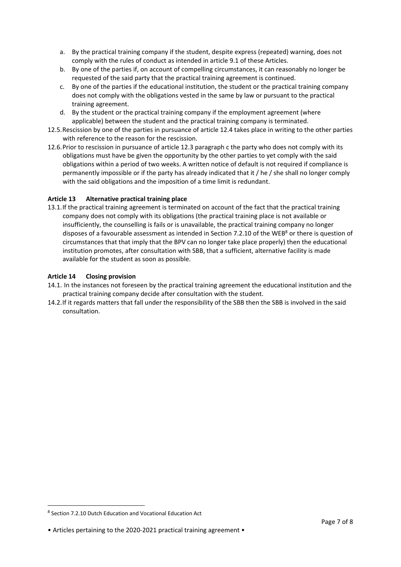- a. By the practical training company if the student, despite express (repeated) warning, does not comply with the rules of conduct as intended in article 9.1 of these Articles.
- b. By one of the parties if, on account of compelling circumstances, it can reasonably no longer be requested of the said party that the practical training agreement is continued.
- c. By one of the parties if the educational institution, the student or the practical training company does not comply with the obligations vested in the same by law or pursuant to the practical training agreement.
- d. By the student or the practical training company if the employment agreement (where applicable) between the student and the practical training company is terminated.
- 12.5.Rescission by one of the parties in pursuance of article 12.4 takes place in writing to the other parties with reference to the reason for the rescission.
- 12.6.Prior to rescission in pursuance of article 12.3 paragraph c the party who does not comply with its obligations must have be given the opportunity by the other parties to yet comply with the said obligations within a period of two weeks. A written notice of default is not required if compliance is permanently impossible or if the party has already indicated that it / he / she shall no longer comply with the said obligations and the imposition of a time limit is redundant.

# **Article 13 Alternative practical training place**

13.1.If the practical training agreement is terminated on account of the fact that the practical training company does not comply with its obligations (the practical training place is not available or insufficiently, the counselling is fails or is unavailable, the practical training company no longer disposes of a favourable assessment as intended in Section 7.2.10 of the WEB<sup>8</sup> or there is question of circumstances that that imply that the BPV can no longer take place properly) then the educational institution promotes, after consultation with SBB, that a sufficient, alternative facility is made available for the student as soon as possible.

### **Article 14 Closing provision**

- 14.1. In the instances not foreseen by the practical training agreement the educational institution and the practical training company decide after consultation with the student.
- 14.2.If it regards matters that fall under the responsibility of the SBB then the SBB is involved in the said consultation.

<sup>&</sup>lt;sup>8</sup> Section 7.2.10 Dutch Education and Vocational Education Act

<sup>•</sup> Articles pertaining to the 2020-2021 practical training agreement •